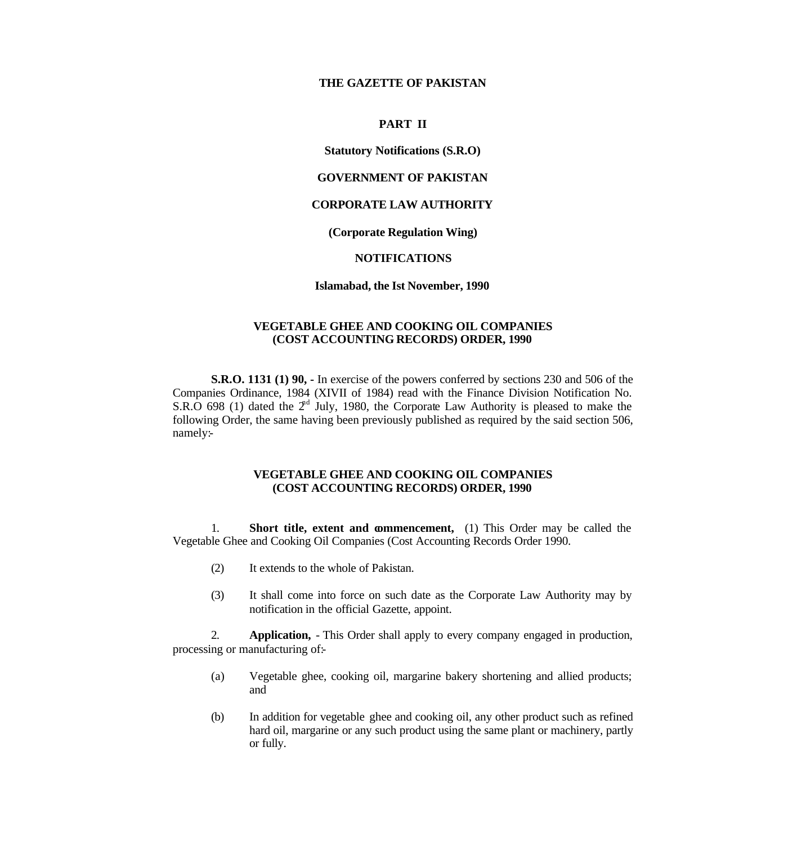## **THE GAZETTE OF PAKISTAN**

### **PART II**

### **Statutory Notifications (S.R.O)**

### **GOVERNMENT OF PAKISTAN**

# **CORPORATE LAW AUTHORITY**

### **(Corporate Regulation Wing)**

### **NOTIFICATIONS**

### **Islamabad, the Ist November, 1990**

### **VEGETABLE GHEE AND COOKING OIL COMPANIES (COST ACCOUNTING RECORDS) ORDER, 1990**

**S.R.O. 1131 (1) 90, -** In exercise of the powers conferred by sections 230 and 506 of the Companies Ordinance, 1984 (XIVII of 1984) read with the Finance Division Notification No. S.R.O 698 (1) dated the  $2<sup>nd</sup>$  July, 1980, the Corporate Law Authority is pleased to make the following Order, the same having been previously published as required by the said section 506, namely:-

## **VEGETABLE GHEE AND COOKING OIL COMPANIES (COST ACCOUNTING RECORDS) ORDER, 1990**

1. **Short title, extent and commencement,** (1) This Order may be called the Vegetable Ghee and Cooking Oil Companies (Cost Accounting Records Order 1990.

- (2) It extends to the whole of Pakistan.
- (3) It shall come into force on such date as the Corporate Law Authority may by notification in the official Gazette, appoint.

2. **Application,** - This Order shall apply to every company engaged in production, processing or manufacturing of:-

- (a) Vegetable ghee, cooking oil, margarine bakery shortening and allied products; and
- (b) In addition for vegetable ghee and cooking oil, any other product such as refined hard oil, margarine or any such product using the same plant or machinery, partly or fully.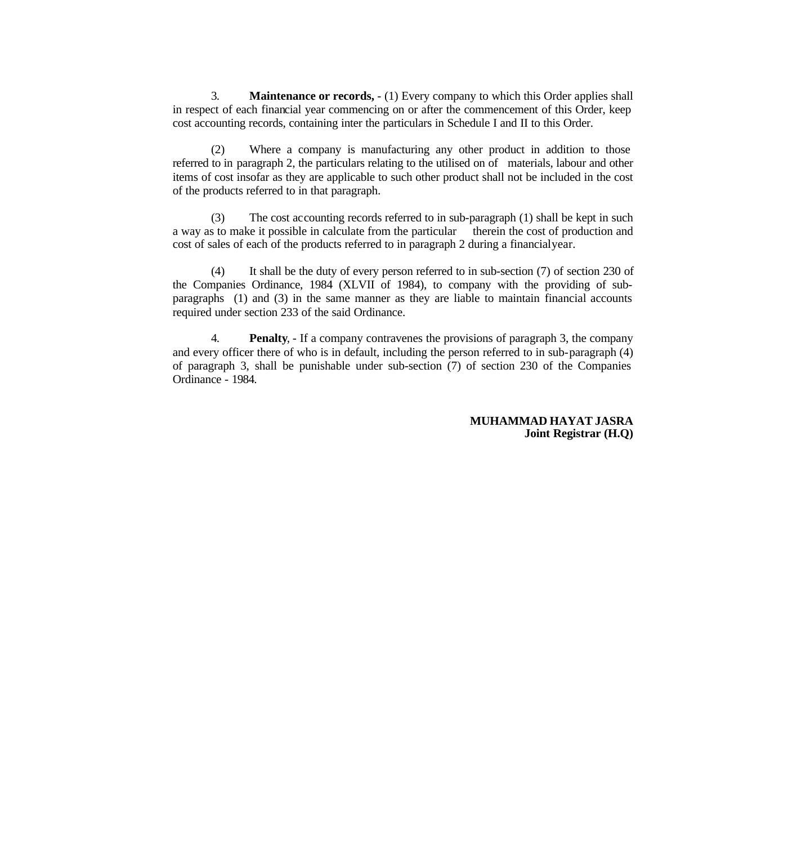3. **Maintenance or records,** - (1) Every company to which this Order applies shall in respect of each financial year commencing on or after the commencement of this Order, keep cost accounting records, containing inter the particulars in Schedule I and II to this Order.

(2) Where a company is manufacturing any other product in addition to those referred to in paragraph 2, the particulars relating to the utilised on of materials, labour and other items of cost insofar as they are applicable to such other product shall not be included in the cost of the products referred to in that paragraph.

(3) The cost accounting records referred to in sub-paragraph (1) shall be kept in such a way as to make it possible in calculate from the particular therein the cost of production and cost of sales of each of the products referred to in paragraph 2 during a financial year.

(4) It shall be the duty of every person referred to in sub-section (7) of section 230 of the Companies Ordinance, 1984 (XLVII of 1984), to company with the providing of subparagraphs (1) and (3) in the same manner as they are liable to maintain financial accounts required under section 233 of the said Ordinance.

4. **Penalty**, - If a company contravenes the provisions of paragraph 3, the company and every officer there of who is in default, including the person referred to in sub-paragraph (4) of paragraph 3, shall be punishable under sub-section (7) of section 230 of the Companies Ordinance - 1984.

> **MUHAMMAD HAYAT JASRA Joint Registrar (H.Q)**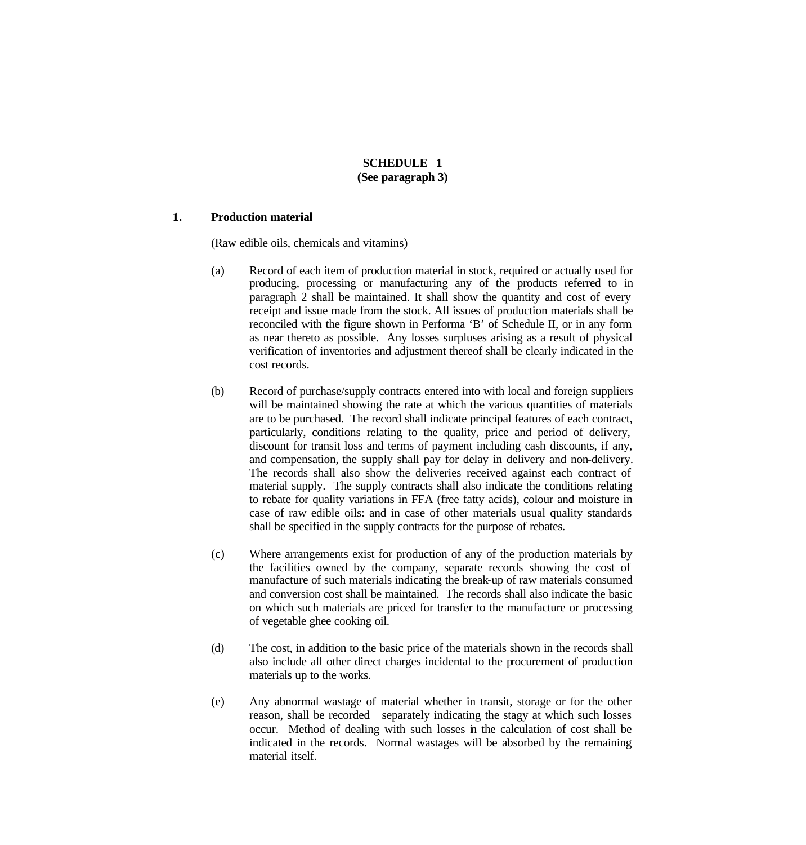## **SCHEDULE 1 (See paragraph 3)**

# **1. Production material**

(Raw edible oils, chemicals and vitamins)

- (a) Record of each item of production material in stock, required or actually used for producing, processing or manufacturing any of the products referred to in paragraph 2 shall be maintained. It shall show the quantity and cost of every receipt and issue made from the stock. All issues of production materials shall be reconciled with the figure shown in Performa 'B' of Schedule II, or in any form as near thereto as possible. Any losses surpluses arising as a result of physical verification of inventories and adjustment thereof shall be clearly indicated in the cost records.
- (b) Record of purchase/supply contracts entered into with local and foreign suppliers will be maintained showing the rate at which the various quantities of materials are to be purchased. The record shall indicate principal features of each contract, particularly, conditions relating to the quality, price and period of delivery, discount for transit loss and terms of payment including cash discounts, if any, and compensation, the supply shall pay for delay in delivery and non-delivery. The records shall also show the deliveries received against each contract of material supply. The supply contracts shall also indicate the conditions relating to rebate for quality variations in FFA (free fatty acids), colour and moisture in case of raw edible oils: and in case of other materials usual quality standards shall be specified in the supply contracts for the purpose of rebates.
- (c) Where arrangements exist for production of any of the production materials by the facilities owned by the company, separate records showing the cost of manufacture of such materials indicating the break-up of raw materials consumed and conversion cost shall be maintained. The records shall also indicate the basic on which such materials are priced for transfer to the manufacture or processing of vegetable ghee cooking oil.
- (d) The cost, in addition to the basic price of the materials shown in the records shall also include all other direct charges incidental to the procurement of production materials up to the works.
- (e) Any abnormal wastage of material whether in transit, storage or for the other reason, shall be recorded separately indicating the stagy at which such losses occur. Method of dealing with such losses in the calculation of cost shall be indicated in the records. Normal wastages will be absorbed by the remaining material itself.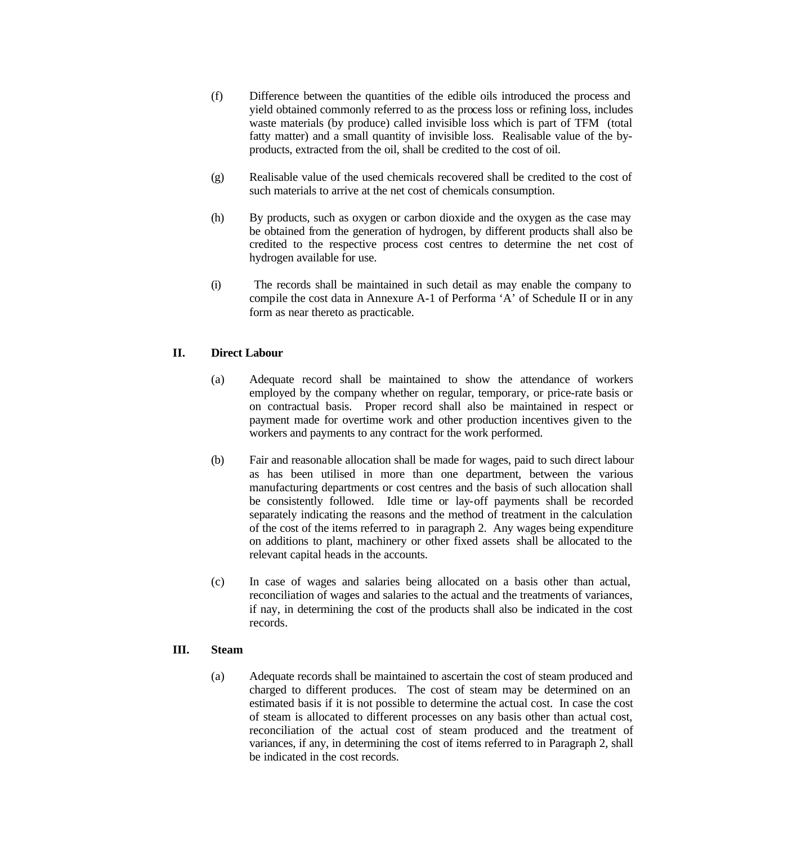- (f) Difference between the quantities of the edible oils introduced the process and yield obtained commonly referred to as the process loss or refining loss, includes waste materials (by produce) called invisible loss which is part of TFM (total fatty matter) and a small quantity of invisible loss. Realisable value of the byproducts, extracted from the oil, shall be credited to the cost of oil.
- (g) Realisable value of the used chemicals recovered shall be credited to the cost of such materials to arrive at the net cost of chemicals consumption.
- (h) By products, such as oxygen or carbon dioxide and the oxygen as the case may be obtained from the generation of hydrogen, by different products shall also be credited to the respective process cost centres to determine the net cost of hydrogen available for use.
- (i) The records shall be maintained in such detail as may enable the company to compile the cost data in Annexure A-1 of Performa 'A' of Schedule II or in any form as near thereto as practicable.

# **II. Direct Labour**

- (a) Adequate record shall be maintained to show the attendance of workers employed by the company whether on regular, temporary, or price-rate basis or on contractual basis. Proper record shall also be maintained in respect or payment made for overtime work and other production incentives given to the workers and payments to any contract for the work performed.
- (b) Fair and reasonable allocation shall be made for wages, paid to such direct labour as has been utilised in more than one department, between the various manufacturing departments or cost centres and the basis of such allocation shall be consistently followed. Idle time or lay-off payments shall be recorded separately indicating the reasons and the method of treatment in the calculation of the cost of the items referred to in paragraph 2. Any wages being expenditure on additions to plant, machinery or other fixed assets shall be allocated to the relevant capital heads in the accounts.
- (c) In case of wages and salaries being allocated on a basis other than actual, reconciliation of wages and salaries to the actual and the treatments of variances, if nay, in determining the cost of the products shall also be indicated in the cost records.

### **III. Steam**

(a) Adequate records shall be maintained to ascertain the cost of steam produced and charged to different produces. The cost of steam may be determined on an estimated basis if it is not possible to determine the actual cost. In case the cost of steam is allocated to different processes on any basis other than actual cost, reconciliation of the actual cost of steam produced and the treatment of variances, if any, in determining the cost of items referred to in Paragraph 2, shall be indicated in the cost records.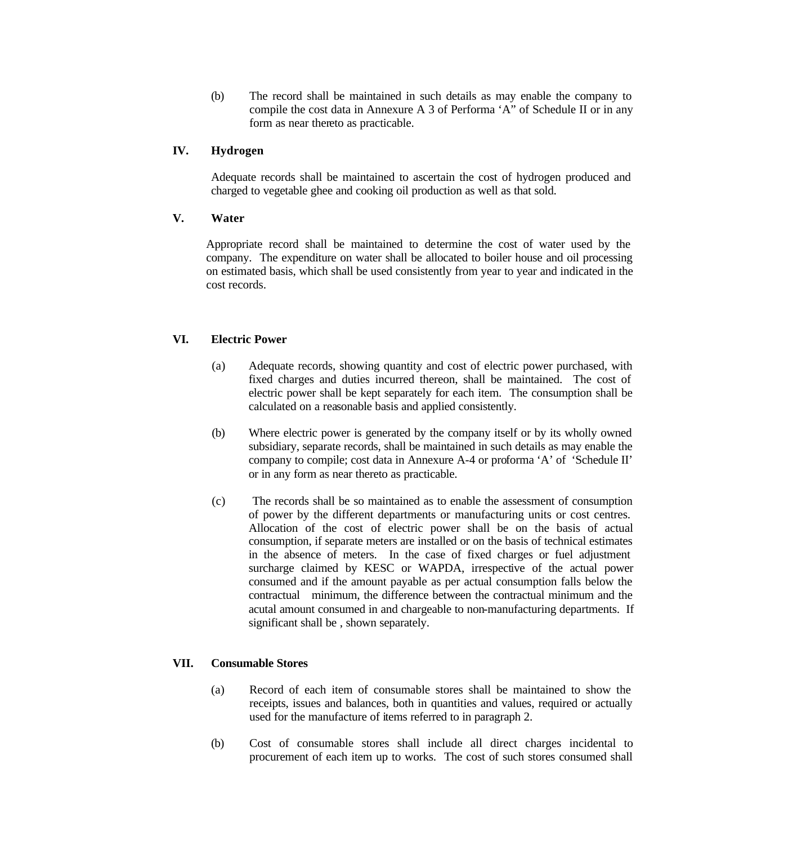(b) The record shall be maintained in such details as may enable the company to compile the cost data in Annexure A 3 of Performa 'A" of Schedule II or in any form as near thereto as practicable.

## **IV. Hydrogen**

Adequate records shall be maintained to ascertain the cost of hydrogen produced and charged to vegetable ghee and cooking oil production as well as that sold.

## **V. Water**

Appropriate record shall be maintained to determine the cost of water used by the company. The expenditure on water shall be allocated to boiler house and oil processing on estimated basis, which shall be used consistently from year to year and indicated in the cost records.

## **VI. Electric Power**

- (a) Adequate records, showing quantity and cost of electric power purchased, with fixed charges and duties incurred thereon, shall be maintained. The cost of electric power shall be kept separately for each item. The consumption shall be calculated on a reasonable basis and applied consistently.
- (b) Where electric power is generated by the company itself or by its wholly owned subsidiary, separate records, shall be maintained in such details as may enable the company to compile; cost data in Annexure A-4 or proforma 'A' of 'Schedule II' or in any form as near thereto as practicable.
- (c) The records shall be so maintained as to enable the assessment of consumption of power by the different departments or manufacturing units or cost centres. Allocation of the cost of electric power shall be on the basis of actual consumption, if separate meters are installed or on the basis of technical estimates in the absence of meters. In the case of fixed charges or fuel adjustment surcharge claimed by KESC or WAPDA, irrespective of the actual power consumed and if the amount payable as per actual consumption falls below the contractual minimum, the difference between the contractual minimum and the acutal amount consumed in and chargeable to non-manufacturing departments. If significant shall be , shown separately.

## **VII. Consumable Stores**

- (a) Record of each item of consumable stores shall be maintained to show the receipts, issues and balances, both in quantities and values, required or actually used for the manufacture of items referred to in paragraph 2.
- (b) Cost of consumable stores shall include all direct charges incidental to procurement of each item up to works. The cost of such stores consumed shall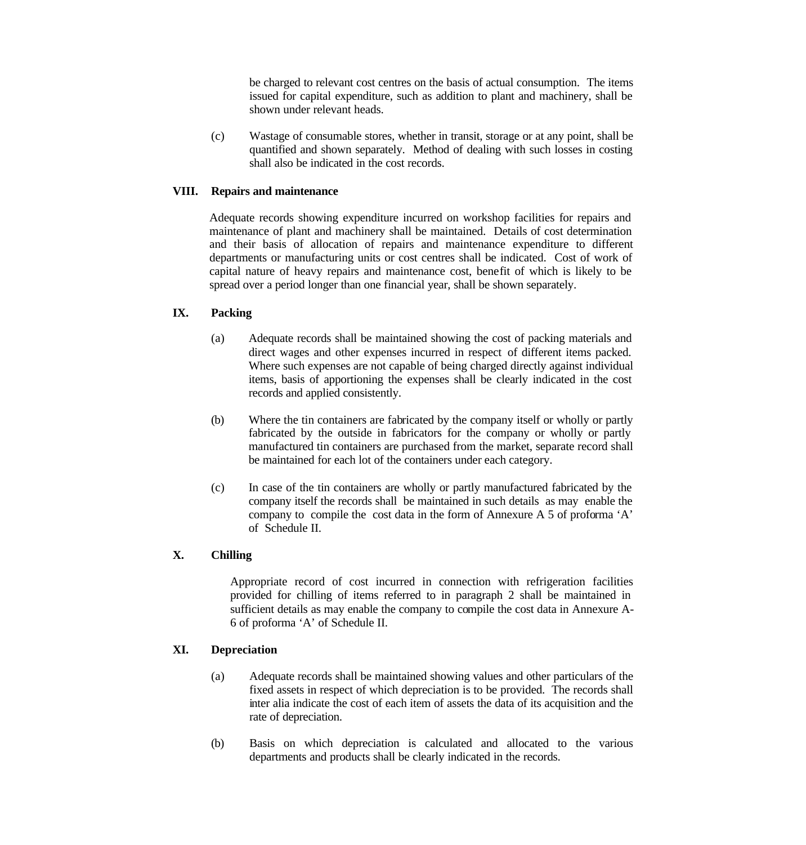be charged to relevant cost centres on the basis of actual consumption. The items issued for capital expenditure, such as addition to plant and machinery, shall be shown under relevant heads.

(c) Wastage of consumable stores, whether in transit, storage or at any point, shall be quantified and shown separately. Method of dealing with such losses in costing shall also be indicated in the cost records.

## **VIII. Repairs and maintenance**

Adequate records showing expenditure incurred on workshop facilities for repairs and maintenance of plant and machinery shall be maintained. Details of cost determination and their basis of allocation of repairs and maintenance expenditure to different departments or manufacturing units or cost centres shall be indicated. Cost of work of capital nature of heavy repairs and maintenance cost, benefit of which is likely to be spread over a period longer than one financial year, shall be shown separately.

# **IX. Packing**

- (a) Adequate records shall be maintained showing the cost of packing materials and direct wages and other expenses incurred in respect of different items packed. Where such expenses are not capable of being charged directly against individual items, basis of apportioning the expenses shall be clearly indicated in the cost records and applied consistently.
- (b) Where the tin containers are fabricated by the company itself or wholly or partly fabricated by the outside in fabricators for the company or wholly or partly manufactured tin containers are purchased from the market, separate record shall be maintained for each lot of the containers under each category.
- (c) In case of the tin containers are wholly or partly manufactured fabricated by the company itself the records shall be maintained in such details as may enable the company to compile the cost data in the form of Annexure A 5 of proforma 'A' of Schedule II.

## **X. Chilling**

Appropriate record of cost incurred in connection with refrigeration facilities provided for chilling of items referred to in paragraph 2 shall be maintained in sufficient details as may enable the company to compile the cost data in Annexure A-6 of proforma 'A' of Schedule II.

### **XI. Depreciation**

- (a) Adequate records shall be maintained showing values and other particulars of the fixed assets in respect of which depreciation is to be provided. The records shall inter alia indicate the cost of each item of assets the data of its acquisition and the rate of depreciation.
- (b) Basis on which depreciation is calculated and allocated to the various departments and products shall be clearly indicated in the records.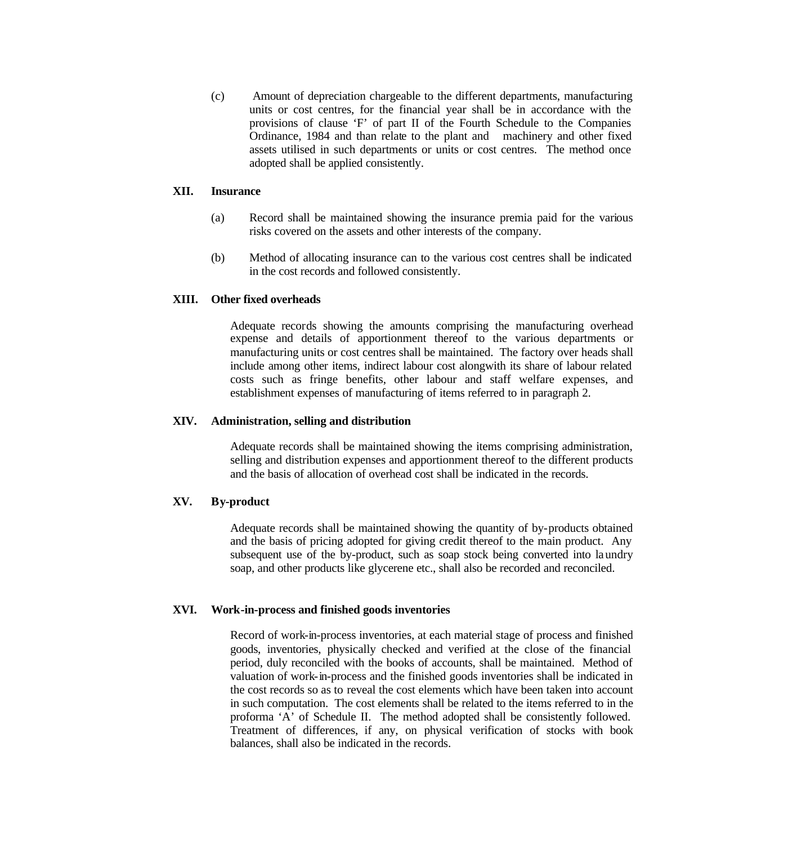(c) Amount of depreciation chargeable to the different departments, manufacturing units or cost centres, for the financial year shall be in accordance with the provisions of clause 'F' of part II of the Fourth Schedule to the Companies Ordinance, 1984 and than relate to the plant and machinery and other fixed assets utilised in such departments or units or cost centres. The method once adopted shall be applied consistently.

### **XII. Insurance**

- (a) Record shall be maintained showing the insurance premia paid for the various risks covered on the assets and other interests of the company.
- (b) Method of allocating insurance can to the various cost centres shall be indicated in the cost records and followed consistently.

## **XIII. Other fixed overheads**

Adequate records showing the amounts comprising the manufacturing overhead expense and details of apportionment thereof to the various departments or manufacturing units or cost centres shall be maintained. The factory over heads shall include among other items, indirect labour cost alongwith its share of labour related costs such as fringe benefits, other labour and staff welfare expenses, and establishment expenses of manufacturing of items referred to in paragraph 2.

### **XIV. Administration, selling and distribution**

Adequate records shall be maintained showing the items comprising administration, selling and distribution expenses and apportionment thereof to the different products and the basis of allocation of overhead cost shall be indicated in the records.

### **XV. By-product**

Adequate records shall be maintained showing the quantity of by-products obtained and the basis of pricing adopted for giving credit thereof to the main product. Any subsequent use of the by-product, such as soap stock being converted into laundry soap, and other products like glycerene etc., shall also be recorded and reconciled.

### **XVI. Work-in-process and finished goods inventories**

Record of work-in-process inventories, at each material stage of process and finished goods, inventories, physically checked and verified at the close of the financial period, duly reconciled with the books of accounts, shall be maintained. Method of valuation of work-in-process and the finished goods inventories shall be indicated in the cost records so as to reveal the cost elements which have been taken into account in such computation. The cost elements shall be related to the items referred to in the proforma 'A' of Schedule II. The method adopted shall be consistently followed. Treatment of differences, if any, on physical verification of stocks with book balances, shall also be indicated in the records.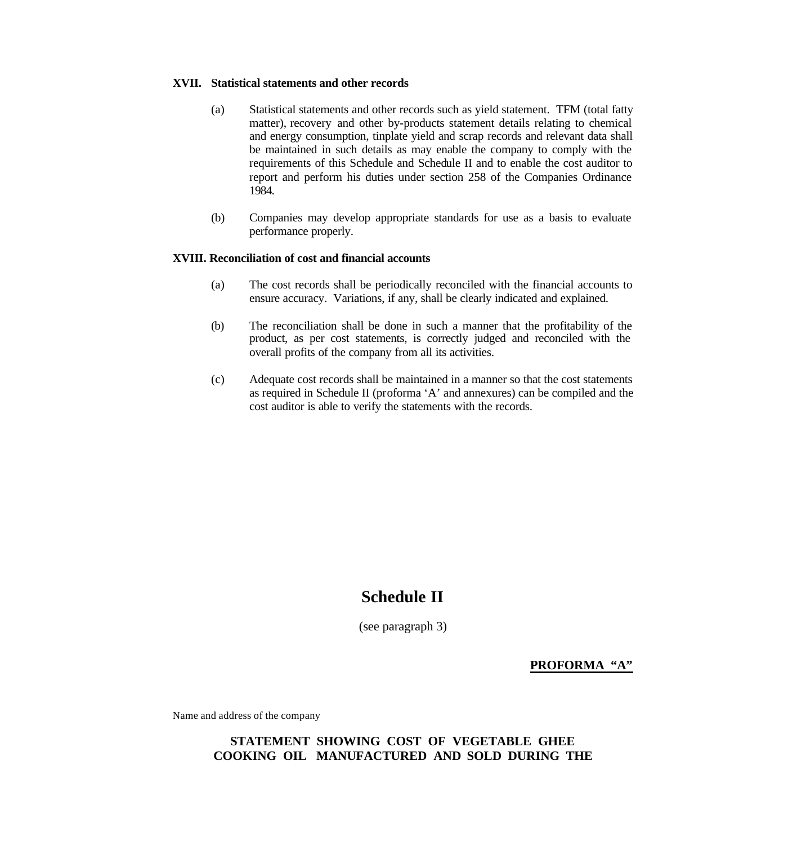## **XVII. Statistical statements and other records**

- (a) Statistical statements and other records such as yield statement. TFM (total fatty matter), recovery and other by-products statement details relating to chemical and energy consumption, tinplate yield and scrap records and relevant data shall be maintained in such details as may enable the company to comply with the requirements of this Schedule and Schedule II and to enable the cost auditor to report and perform his duties under section 258 of the Companies Ordinance 1984.
- (b) Companies may develop appropriate standards for use as a basis to evaluate performance properly.

### **XVIII. Reconciliation of cost and financial accounts**

- (a) The cost records shall be periodically reconciled with the financial accounts to ensure accuracy. Variations, if any, shall be clearly indicated and explained.
- (b) The reconciliation shall be done in such a manner that the profitability of the product, as per cost statements, is correctly judged and reconciled with the overall profits of the company from all its activities.
- (c) Adequate cost records shall be maintained in a manner so that the cost statements as required in Schedule II (proforma 'A' and annexures) can be compiled and the cost auditor is able to verify the statements with the records.

# **Schedule II**

(see paragraph 3)

**PROFORMA "A"**

Name and address of the company

# **STATEMENT SHOWING COST OF VEGETABLE GHEE COOKING OIL MANUFACTURED AND SOLD DURING THE**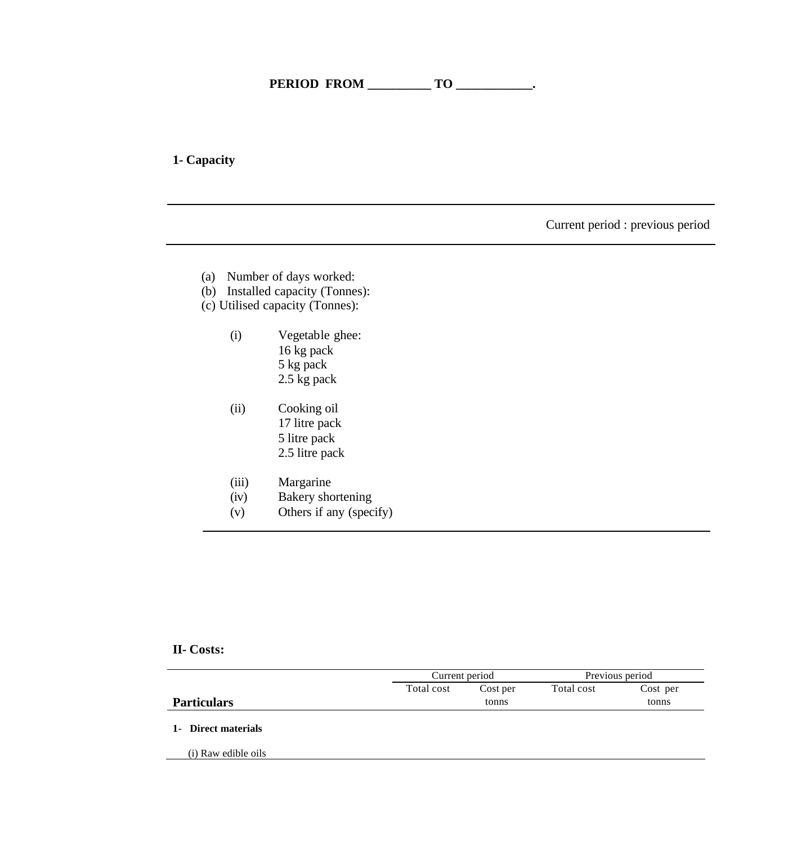# **1- Capacity**

Current period : previous period

- (a) Number of days worked:
- (b) Installed capacity (Tonnes):
- (c) Utilised capacity (Tonnes):
	- (i) Vegetable ghee: 16 kg pack 5 kg pack 2.5 kg pack
	- (ii) Cooking oil 17 litre pack 5 litre pack 2.5 litre pack
	- (iii) Margarine
	- (iv) Bakery shortening
	- (v) Others if any (specify)

# **II- Costs:**

|                     | Current period |          | Previous period |          |  |
|---------------------|----------------|----------|-----------------|----------|--|
|                     | Total cost     | Cost per | Total cost      | Cost per |  |
| <b>Particulars</b>  |                | tonns    |                 | tonns    |  |
| 1- Direct materials |                |          |                 |          |  |
| (i) Raw edible oils |                |          |                 |          |  |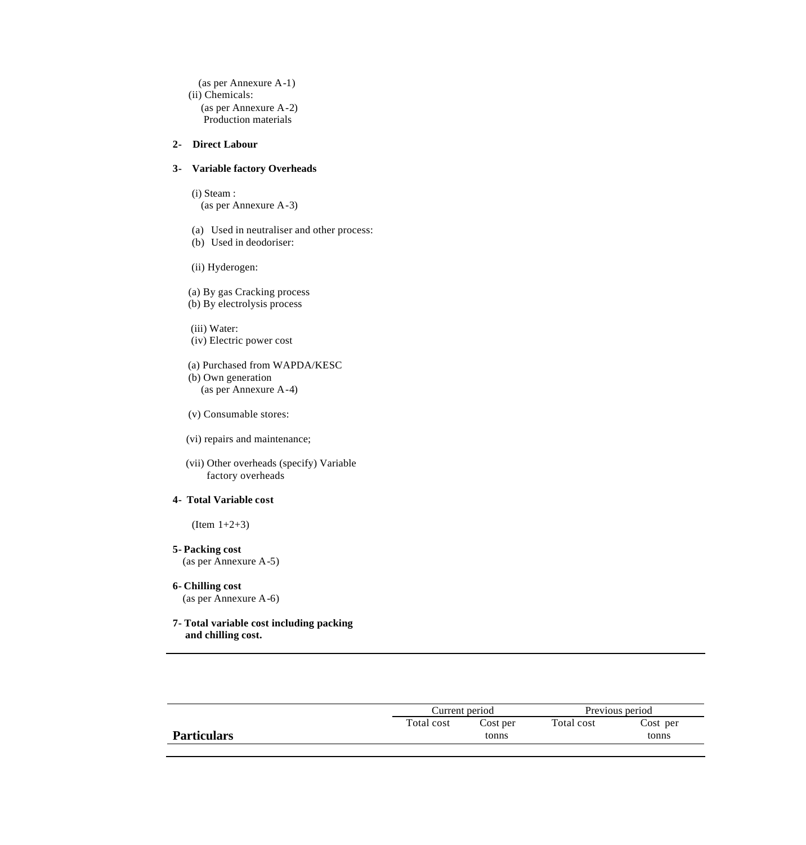(as per Annexure A-1) (ii) Chemicals: (as per Annexure A-2) Production materials

## **2- Direct Labour**

### **3- Variable factory Overheads**

(i) Steam : (as per Annexure A-3)

(a) Used in neutraliser and other process: (b) Used in deodoriser:

(ii) Hyderogen:

(a) By gas Cracking process

(b) By electrolysis process

 (iii) Water: (iv) Electric power cost

 (a) Purchased from WAPDA/KESC (b) Own generation (as per Annexure A-4)

(v) Consumable stores:

(vi) repairs and maintenance;

 (vii) Other overheads (specify) Variable factory overheads

## **4- Total Variable cost**

(Item 1+2+3)

- **5- Packing cost** (as per Annexure A-5)
- **6- Chilling cost** (as per Annexure A-6)

### **7- Total variable cost including packing and chilling cost.**

|                    |            | Current period    |            | Previous period   |
|--------------------|------------|-------------------|------------|-------------------|
| <b>Particulars</b> | Total cost | Cost per<br>tonns | Total cost | Cost per<br>tonns |
|                    |            |                   |            |                   |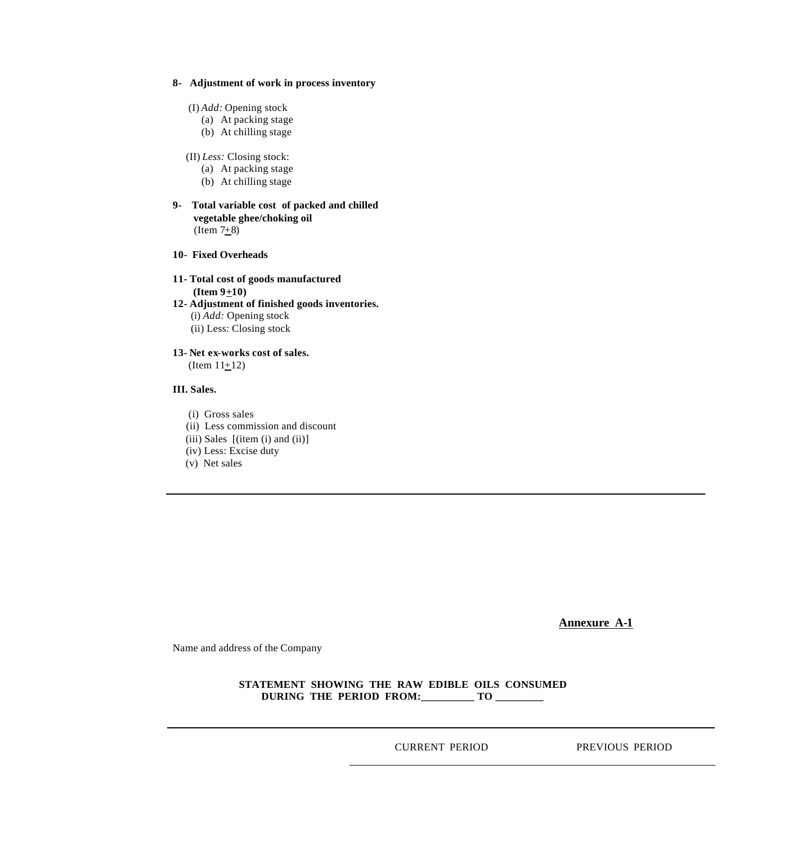## **8- Adjustment of work in process inventory**

- (I) *Add:* Opening stock
	- (a) At packing stage
	- (b) At chilling stage
- (II) *Less:* Closing stock:
	- (a) At packing stage
	- (b) At chilling stage
- **9- Total variable cost of packed and chilled vegetable ghee/choking oil**  (Item  $7+8$ )
- **10- Fixed Overheads**
- **11- Total cost of goods manufactured**   $($ **Item**  $9+10)$ **12- Adjustment of finished goods inventories.** (i) *Add:* Opening stock (ii) Less: Closing stock
- **13- Net ex-works cost of sales.**  $(Item 11+12)$

### **III. Sales.**

- (i) Gross sales
- (ii) Less commission and discount
- $(iii)$  Sales  $[(item (i) and (ii)]$
- (iv) Less: Excise duty
- (v) Net sales

**Annexure A-1**

Name and address of the Company

## **STATEMENT SHOWING THE RAW EDIBLE OILS CONSUMED DURING THE PERIOD FROM:\_\_\_\_\_\_\_\_\_\_ TO \_\_\_\_\_\_\_\_\_**

CURRENT PERIOD PREVIOUS PERIOD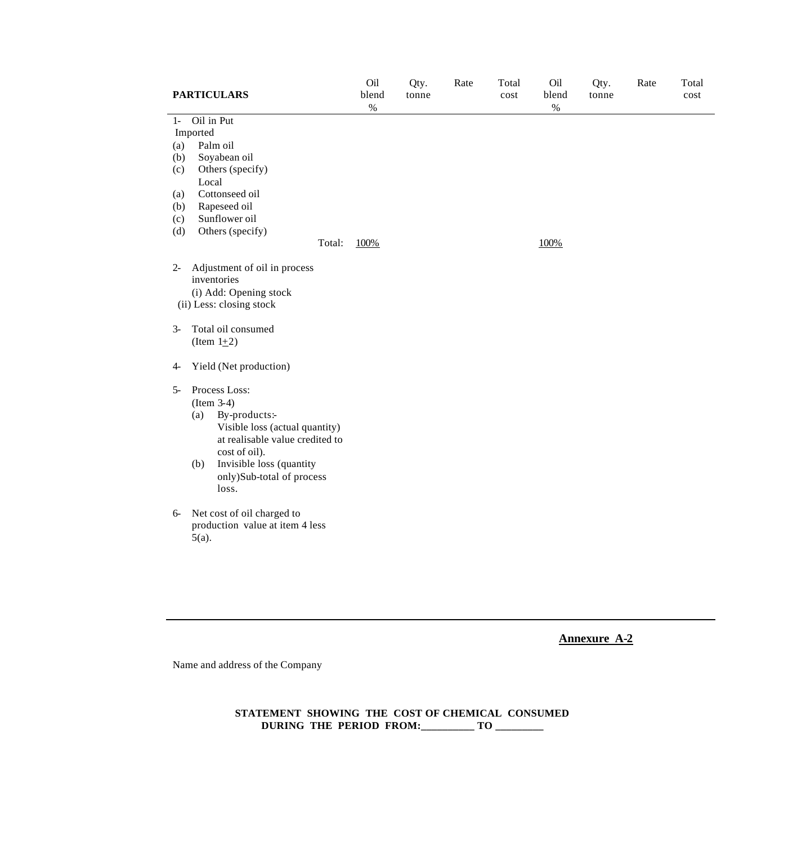| <b>PARTICULARS</b>                                                                                         | Oil<br>blend<br>$\%$ | Qty.<br>tonne | Rate | Total<br>cost | Oil<br>blend<br>$\%$ | Qty.<br>tonne | Rate | Total<br>cost |
|------------------------------------------------------------------------------------------------------------|----------------------|---------------|------|---------------|----------------------|---------------|------|---------------|
| Oil in Put<br>$1 -$                                                                                        |                      |               |      |               |                      |               |      |               |
| Imported                                                                                                   |                      |               |      |               |                      |               |      |               |
| Palm oil<br>(a)                                                                                            |                      |               |      |               |                      |               |      |               |
| Soyabean oil<br>(b)                                                                                        |                      |               |      |               |                      |               |      |               |
| Others (specify)<br>(c)                                                                                    |                      |               |      |               |                      |               |      |               |
| Local                                                                                                      |                      |               |      |               |                      |               |      |               |
| Cottonseed oil<br>(a)                                                                                      |                      |               |      |               |                      |               |      |               |
| Rapeseed oil<br>(b)                                                                                        |                      |               |      |               |                      |               |      |               |
| Sunflower oil<br>(c)                                                                                       |                      |               |      |               |                      |               |      |               |
| Others (specify)<br>(d)                                                                                    |                      |               |      |               |                      |               |      |               |
| Total:                                                                                                     | 100%                 |               |      |               | 100%                 |               |      |               |
| Adjustment of oil in process<br>$2 -$<br>inventories<br>(i) Add: Opening stock<br>(ii) Less: closing stock |                      |               |      |               |                      |               |      |               |
| Total oil consumed<br>$3-$<br>(Item $1\pm 2$ )                                                             |                      |               |      |               |                      |               |      |               |
| Yield (Net production)<br>$4-$                                                                             |                      |               |      |               |                      |               |      |               |
| Process Loss:<br>$5-$                                                                                      |                      |               |      |               |                      |               |      |               |
| $(Item 3-4)$                                                                                               |                      |               |      |               |                      |               |      |               |
| By-products:-<br>(a)                                                                                       |                      |               |      |               |                      |               |      |               |
| Visible loss (actual quantity)                                                                             |                      |               |      |               |                      |               |      |               |
| at realisable value credited to<br>cost of oil).                                                           |                      |               |      |               |                      |               |      |               |
| Invisible loss (quantity<br>(b)                                                                            |                      |               |      |               |                      |               |      |               |
| only)Sub-total of process                                                                                  |                      |               |      |               |                      |               |      |               |
| loss.                                                                                                      |                      |               |      |               |                      |               |      |               |
|                                                                                                            |                      |               |      |               |                      |               |      |               |
| Net cost of oil charged to<br>$6-$<br>production value at item 4 less<br>$5(a)$ .                          |                      |               |      |               |                      |               |      |               |
|                                                                                                            |                      |               |      |               |                      |               |      |               |

Name and address of the Company

**STATEMENT SHOWING THE COST OF CHEMICAL CONSUMED DURING THE PERIOD FROM:\_\_\_\_\_\_\_\_\_\_ TO \_\_\_\_\_\_\_\_\_**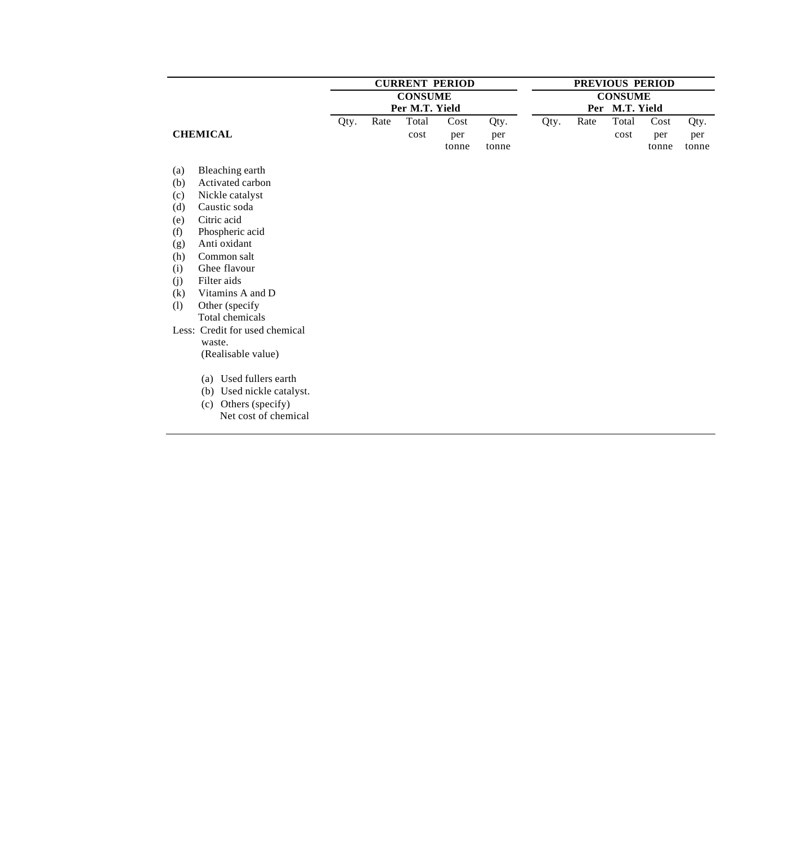|     |                                |      | <b>CURRENT PERIOD</b> |                |       | PREVIOUS PERIOD |      |      |                |       |       |
|-----|--------------------------------|------|-----------------------|----------------|-------|-----------------|------|------|----------------|-------|-------|
|     |                                |      |                       | <b>CONSUME</b> |       |                 |      |      | <b>CONSUME</b> |       |       |
|     |                                |      |                       | Per M.T. Yield |       |                 |      | Per  | M.T. Yield     |       |       |
|     |                                | Qty. | Rate                  | Total          | Cost  | Qty.            | Qty. | Rate | Total          | Cost  | Qty.  |
|     | <b>CHEMICAL</b>                |      |                       | cost           | per   | per             |      |      | cost           | per   | per   |
|     |                                |      |                       |                | tonne | tonne           |      |      |                | tonne | tonne |
| (a) | Bleaching earth                |      |                       |                |       |                 |      |      |                |       |       |
| (b) | Activated carbon               |      |                       |                |       |                 |      |      |                |       |       |
| (c) | Nickle catalyst                |      |                       |                |       |                 |      |      |                |       |       |
| (d) | Caustic soda                   |      |                       |                |       |                 |      |      |                |       |       |
| (e) | Citric acid                    |      |                       |                |       |                 |      |      |                |       |       |
| (f) | Phospheric acid                |      |                       |                |       |                 |      |      |                |       |       |
| (g) | Anti oxidant                   |      |                       |                |       |                 |      |      |                |       |       |
| (h) | Common salt                    |      |                       |                |       |                 |      |      |                |       |       |
| (i) | Ghee flavour                   |      |                       |                |       |                 |      |      |                |       |       |
| (j) | Filter aids                    |      |                       |                |       |                 |      |      |                |       |       |
| (k) | Vitamins A and D               |      |                       |                |       |                 |      |      |                |       |       |
| (1) | Other (specify                 |      |                       |                |       |                 |      |      |                |       |       |
|     | Total chemicals                |      |                       |                |       |                 |      |      |                |       |       |
|     | Less: Credit for used chemical |      |                       |                |       |                 |      |      |                |       |       |
|     | waste.                         |      |                       |                |       |                 |      |      |                |       |       |
|     | (Realisable value)             |      |                       |                |       |                 |      |      |                |       |       |
|     | (a) Used fullers earth         |      |                       |                |       |                 |      |      |                |       |       |
|     | Used nickle catalyst.<br>(b)   |      |                       |                |       |                 |      |      |                |       |       |
|     | Others (specify)<br>(c)        |      |                       |                |       |                 |      |      |                |       |       |
|     | Net cost of chemical           |      |                       |                |       |                 |      |      |                |       |       |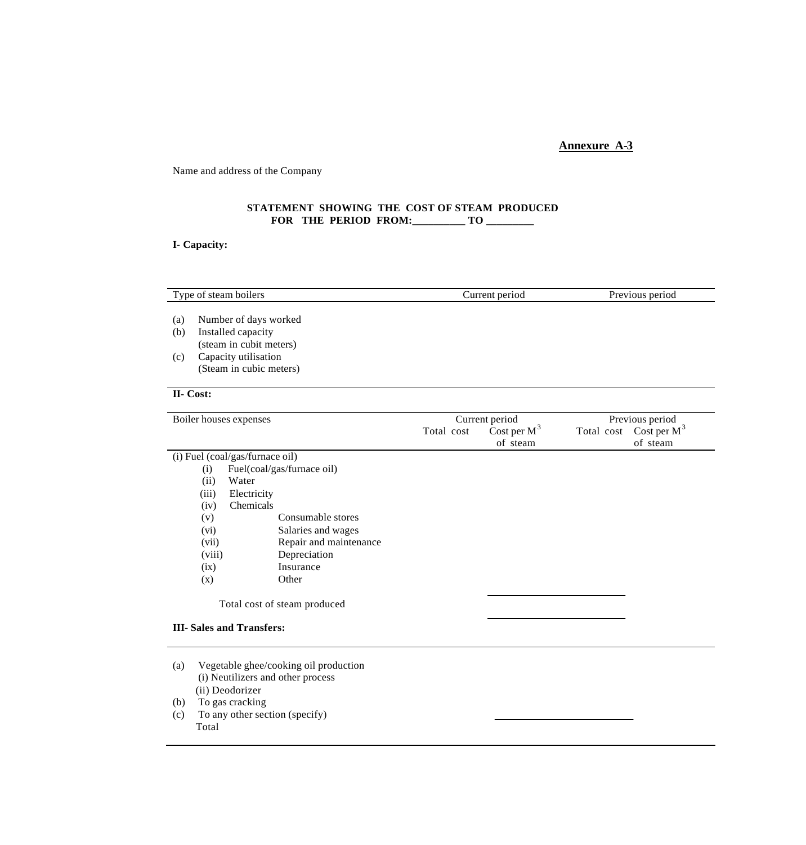Name and address of the Company

# **STATEMENT SHOWING THE COST OF STEAM PRODUCED FOR THE PERIOD FROM:\_\_\_\_\_\_\_\_\_\_ TO \_\_\_\_\_\_\_\_\_**

# **I- Capacity:**

|           | Type of steam boilers                                                                         |            | Current period             | Previous period                       |  |  |
|-----------|-----------------------------------------------------------------------------------------------|------------|----------------------------|---------------------------------------|--|--|
|           |                                                                                               |            |                            |                                       |  |  |
| (a)       | Number of days worked                                                                         |            |                            |                                       |  |  |
| (b)       | Installed capacity<br>(steam in cubit meters)                                                 |            |                            |                                       |  |  |
| (c)       | Capacity utilisation                                                                          |            |                            |                                       |  |  |
|           | (Steam in cubic meters)                                                                       |            |                            |                                       |  |  |
|           |                                                                                               |            |                            |                                       |  |  |
| II- Cost: |                                                                                               |            |                            |                                       |  |  |
|           | Boiler houses expenses                                                                        |            | Current period             | Previous period                       |  |  |
|           |                                                                                               | Total cost | Cost per $M^3$<br>of steam | Total cost Cost per $M^3$<br>of steam |  |  |
|           | (i) Fuel (coal/gas/furnace oil)                                                               |            |                            |                                       |  |  |
|           | Fuel(coal/gas/furnace oil)<br>(i)                                                             |            |                            |                                       |  |  |
|           | Water<br>(ii)                                                                                 |            |                            |                                       |  |  |
|           | Electricity<br>(iii)                                                                          |            |                            |                                       |  |  |
|           | Chemicals<br>(iv)                                                                             |            |                            |                                       |  |  |
|           | Consumable stores<br>(v)                                                                      |            |                            |                                       |  |  |
|           | Salaries and wages<br>(vi)                                                                    |            |                            |                                       |  |  |
|           | Repair and maintenance<br>(vii)<br>Depreciation<br>(viii)                                     |            |                            |                                       |  |  |
|           | Insurance<br>(ix)                                                                             |            |                            |                                       |  |  |
|           | Other<br>(x)                                                                                  |            |                            |                                       |  |  |
|           |                                                                                               |            |                            |                                       |  |  |
|           | Total cost of steam produced                                                                  |            |                            |                                       |  |  |
|           | <b>III-Sales and Transfers:</b>                                                               |            |                            |                                       |  |  |
| (a)       | Vegetable ghee/cooking oil production<br>(i) Neutilizers and other process<br>(ii) Deodorizer |            |                            |                                       |  |  |
| (b)       | To gas cracking                                                                               |            |                            |                                       |  |  |

(c) To any other section (specify) Total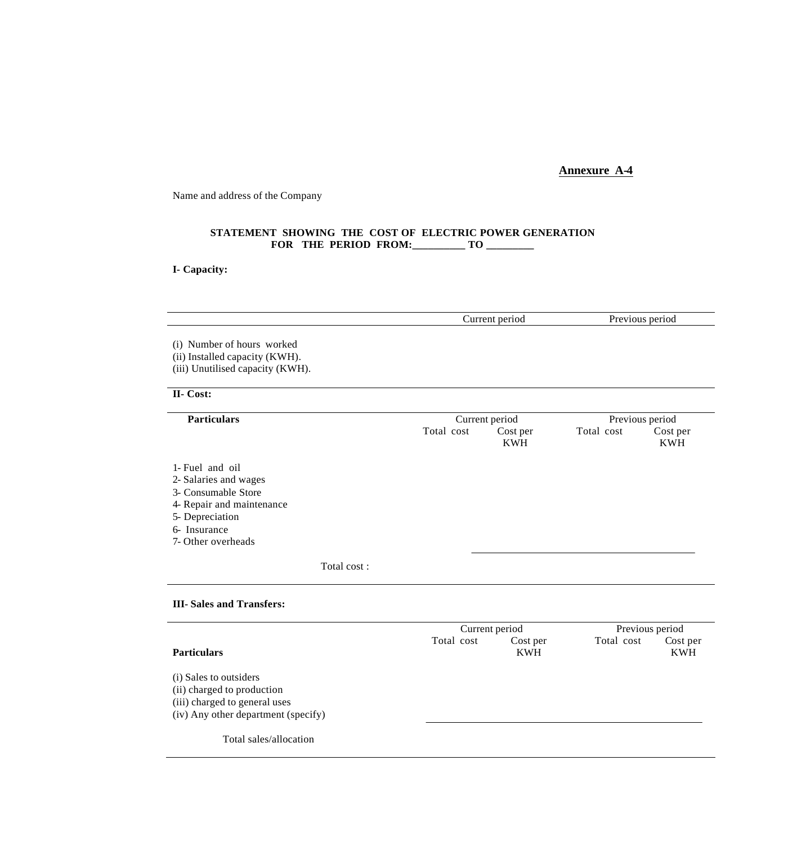Name and address of the Company

### **STATEMENT SHOWING THE COST OF ELECTRIC POWER GENERATION FOR THE PERIOD FROM:\_\_\_\_\_\_\_\_\_\_ TO \_\_\_\_\_\_\_\_\_**

**I- Capacity:**

| Current period<br>Previous period<br>(i) Number of hours worked<br>(ii) Installed capacity (KWH).<br>(iii) Unutilised capacity (KWH).<br>II- Cost:<br><b>Particulars</b><br>Previous period<br>Current period<br>Total cost<br>Total cost<br>Cost per |  |            |  |                        |
|-------------------------------------------------------------------------------------------------------------------------------------------------------------------------------------------------------------------------------------------------------|--|------------|--|------------------------|
|                                                                                                                                                                                                                                                       |  |            |  |                        |
|                                                                                                                                                                                                                                                       |  |            |  |                        |
|                                                                                                                                                                                                                                                       |  |            |  |                        |
|                                                                                                                                                                                                                                                       |  | <b>KWH</b> |  | Cost per<br><b>KWH</b> |
| 1- Fuel and oil<br>2- Salaries and wages<br>3- Consumable Store<br>4- Repair and maintenance<br>5- Depreciation<br>6- Insurance<br>7- Other overheads                                                                                                 |  |            |  |                        |
| Total cost:                                                                                                                                                                                                                                           |  |            |  |                        |
| <b>III-Sales and Transfers:</b>                                                                                                                                                                                                                       |  |            |  |                        |

|                                                                                                                              | Current period | Previous period        |            |                        |
|------------------------------------------------------------------------------------------------------------------------------|----------------|------------------------|------------|------------------------|
| <b>Particulars</b>                                                                                                           | Total cost     | Cost per<br><b>KWH</b> | Total cost | Cost per<br><b>KWH</b> |
| (i) Sales to outsiders<br>(ii) charged to production<br>(iii) charged to general uses<br>(iv) Any other department (specify) |                |                        |            |                        |
| Total sales/allocation                                                                                                       |                |                        |            |                        |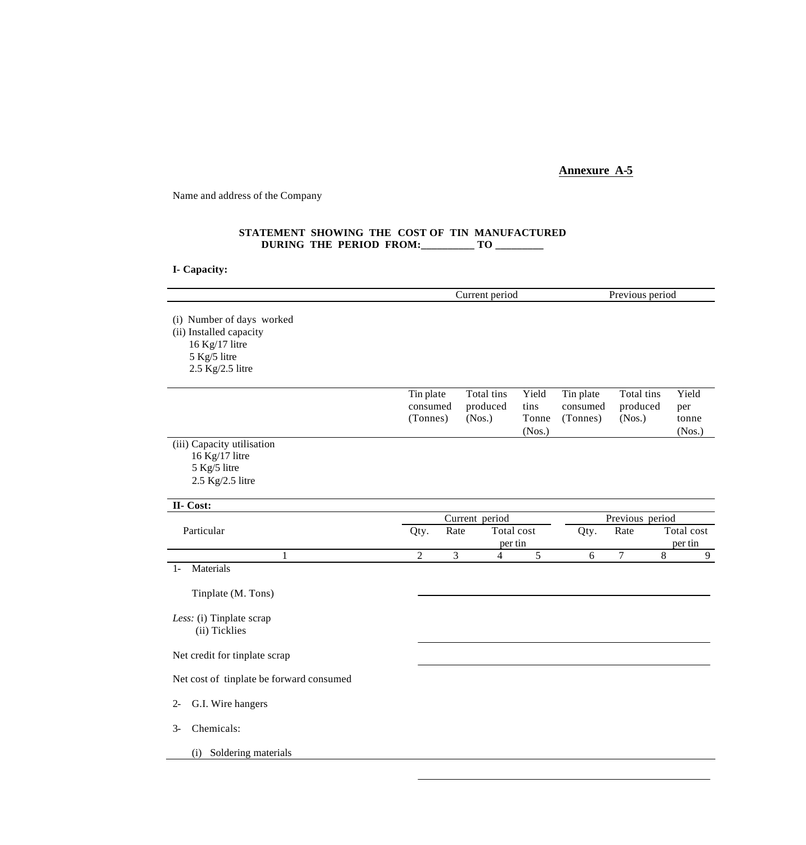Name and address of the Company

### **STATEMENT SHOWING THE COST OF TIN MANUFACTURED DURING THE PERIOD FROM:\_\_\_\_\_\_\_\_\_\_ TO \_\_\_\_\_\_\_\_\_**

**I- Capacity:**

|                                                                                                            |                                   |      | Current period                   |                                  |                                   | Previous period                  |                                 |
|------------------------------------------------------------------------------------------------------------|-----------------------------------|------|----------------------------------|----------------------------------|-----------------------------------|----------------------------------|---------------------------------|
| (i) Number of days worked<br>(ii) Installed capacity<br>16 Kg/17 litre<br>5 Kg/5 litre<br>2.5 Kg/2.5 litre |                                   |      |                                  |                                  |                                   |                                  |                                 |
|                                                                                                            | Tin plate<br>consumed<br>(Tonnes) |      | Total tins<br>produced<br>(Nos.) | Yield<br>tins<br>Tonne<br>(Nos.) | Tin plate<br>consumed<br>(Tonnes) | Total tins<br>produced<br>(Nos.) | Yield<br>per<br>tonne<br>(Nos.) |
| (iii) Capacity utilisation<br>16 Kg/17 litre<br>5 Kg/5 litre<br>2.5 Kg/2.5 litre                           |                                   |      |                                  |                                  |                                   |                                  |                                 |
| II- Cost:                                                                                                  |                                   |      |                                  |                                  |                                   |                                  |                                 |
|                                                                                                            |                                   |      | Current period                   |                                  |                                   | Previous period                  |                                 |
| Particular                                                                                                 | Qty.                              | Rate | per tin                          | Total cost                       | Qty.                              | Rate                             | Total cost<br>per tin           |
| $\mathbf{1}$                                                                                               | $\overline{2}$                    | 3    | $\overline{4}$                   | 5                                | 6                                 | $\overline{7}$                   | 8<br>9                          |
| Materials<br>$1-$                                                                                          |                                   |      |                                  |                                  |                                   |                                  |                                 |
| Tinplate (M. Tons)                                                                                         |                                   |      |                                  |                                  |                                   |                                  |                                 |
| Less: (i) Tinplate scrap<br>(ii) Ticklies                                                                  |                                   |      |                                  |                                  |                                   |                                  |                                 |
| Net credit for tinplate scrap                                                                              |                                   |      |                                  |                                  |                                   |                                  |                                 |
| Net cost of tinplate be forward consumed                                                                   |                                   |      |                                  |                                  |                                   |                                  |                                 |
| G.I. Wire hangers<br>$2 -$                                                                                 |                                   |      |                                  |                                  |                                   |                                  |                                 |
| Chemicals:<br>$3-$                                                                                         |                                   |      |                                  |                                  |                                   |                                  |                                 |
| Soldering materials<br>(i)                                                                                 |                                   |      |                                  |                                  |                                   |                                  |                                 |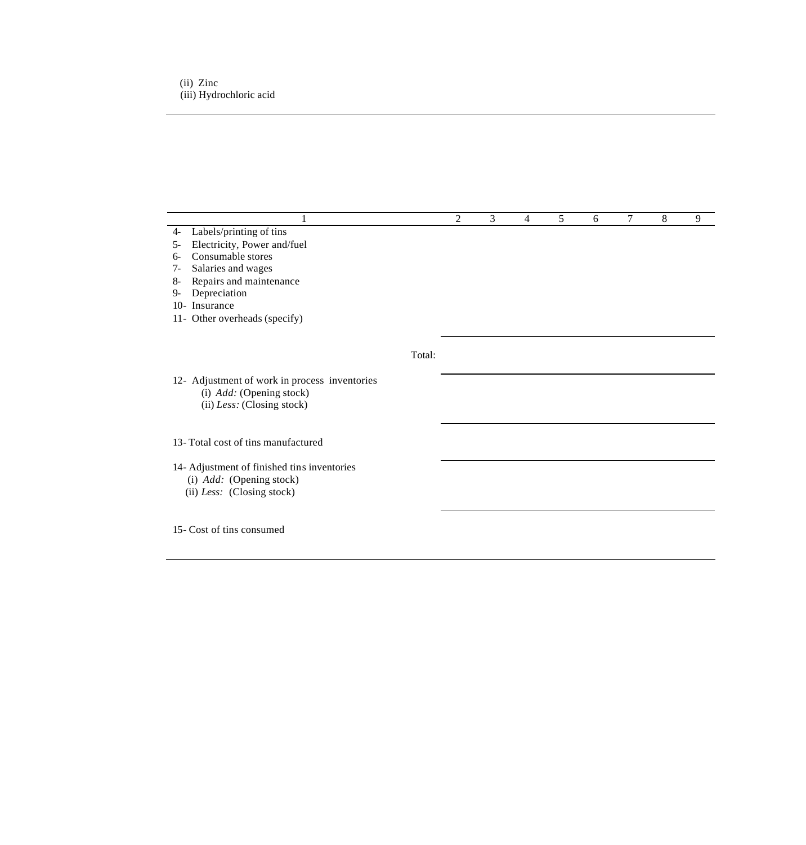|                                                                                                                                                                                                                                          |        | $\mathfrak{D}$ | 3 | 4 | 5 | 6 | 7 | 8 | 9 |
|------------------------------------------------------------------------------------------------------------------------------------------------------------------------------------------------------------------------------------------|--------|----------------|---|---|---|---|---|---|---|
| Labels/printing of tins<br>$4-$<br>Electricity, Power and/fuel<br>$5-$<br>Consumable stores<br>6-<br>Salaries and wages<br>$7-$<br>Repairs and maintenance<br>8-<br>Depreciation<br>9-<br>10- Insurance<br>11- Other overheads (specify) |        |                |   |   |   |   |   |   |   |
|                                                                                                                                                                                                                                          | Total: |                |   |   |   |   |   |   |   |
| 12- Adjustment of work in process inventories<br>(i) <i>Add:</i> (Opening stock)<br>(ii) Less: (Closing stock)                                                                                                                           |        |                |   |   |   |   |   |   |   |
| 13- Total cost of tins manufactured                                                                                                                                                                                                      |        |                |   |   |   |   |   |   |   |
| 14- Adjustment of finished tins inventories<br>(i) $Add:$ (Opening stock)<br>(ii) Less: (Closing stock)                                                                                                                                  |        |                |   |   |   |   |   |   |   |
| 15- Cost of tins consumed                                                                                                                                                                                                                |        |                |   |   |   |   |   |   |   |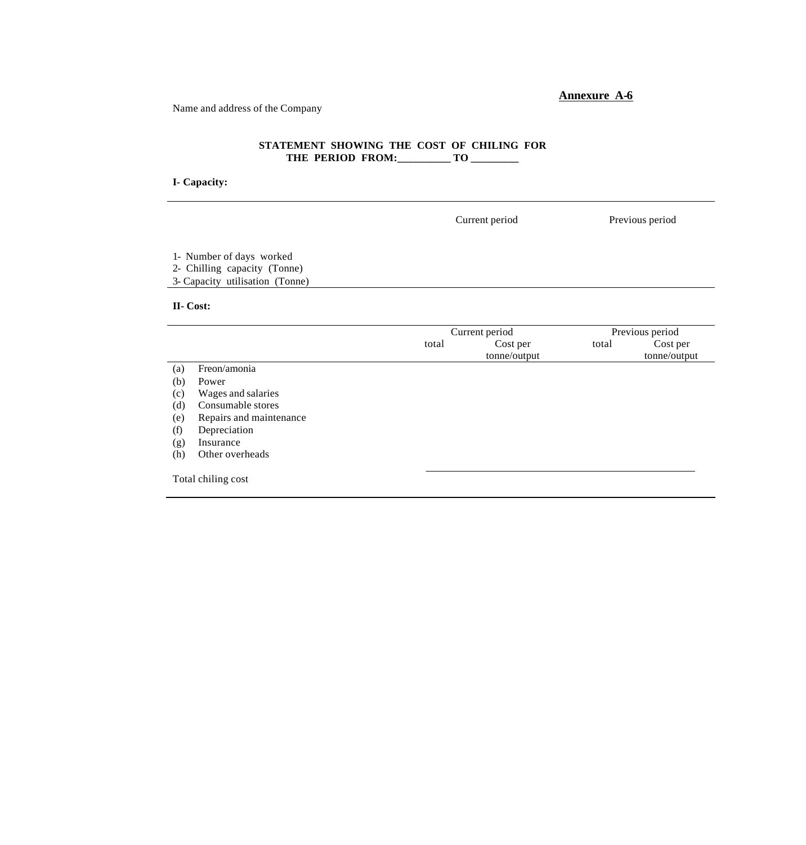Name and address of the Company

# **STATEMENT SHOWING THE COST OF CHILING FOR**  THE PERIOD FROM:\_\_\_\_\_\_\_\_\_ TO \_\_\_\_\_\_\_\_\_

# **I- Capacity:**

|                                                                                             |       | Current period |       | Previous period                 |
|---------------------------------------------------------------------------------------------|-------|----------------|-------|---------------------------------|
| 1- Number of days worked<br>2- Chilling capacity (Tonne)<br>3- Capacity utilisation (Tonne) |       |                |       |                                 |
| II- Cost:                                                                                   |       |                |       |                                 |
|                                                                                             |       | Current period |       |                                 |
|                                                                                             | total | Cost per       | total | Cost per                        |
|                                                                                             |       | tonne/output   |       | Previous period<br>tonne/output |

|     |                         | tome/output | tome/output |
|-----|-------------------------|-------------|-------------|
| (a) | Freon/amonia            |             |             |
| (b) | Power                   |             |             |
| (c) | Wages and salaries      |             |             |
| (d) | Consumable stores       |             |             |
| (e) | Repairs and maintenance |             |             |
| (f) | Depreciation            |             |             |
| (g) | Insurance               |             |             |
| (h) | Other overheads         |             |             |
|     |                         |             |             |
|     | Total chiling cost      |             |             |
|     |                         |             |             |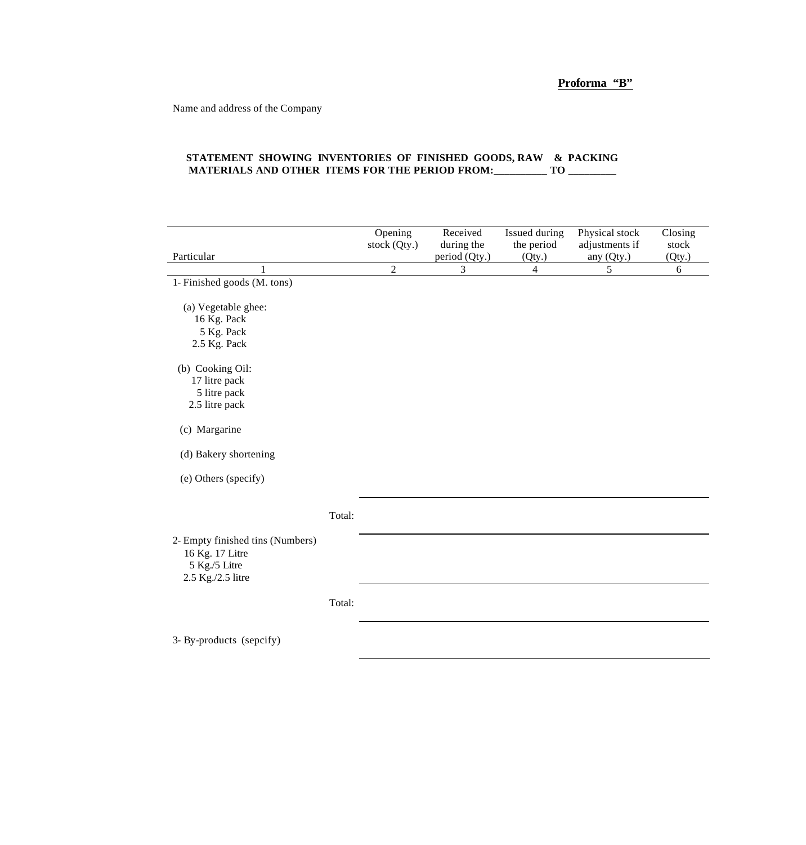Name and address of the Company

### **STATEMENT SHOWING INVENTORIES OF FINISHED GOODS, RAW & PACKING MATERIALS AND OTHER ITEMS FOR THE PERIOD FROM:\_\_\_\_\_\_\_\_\_\_ TO \_\_\_\_\_\_\_\_\_**

| Particular                                                                                |        | Opening<br>stock (Qty.) | Received<br>during the<br>period (Qty.) | Issued during<br>the period<br>(Qty.) | Physical stock<br>adjustments if<br>any (Qty.) | Closing<br>stock<br>(Qty.) |
|-------------------------------------------------------------------------------------------|--------|-------------------------|-----------------------------------------|---------------------------------------|------------------------------------------------|----------------------------|
| 1                                                                                         |        | $\overline{2}$          | 3                                       | 4                                     | 5                                              | 6                          |
| 1- Finished goods (M. tons)                                                               |        |                         |                                         |                                       |                                                |                            |
| (a) Vegetable ghee:                                                                       |        |                         |                                         |                                       |                                                |                            |
| 16 Kg. Pack                                                                               |        |                         |                                         |                                       |                                                |                            |
| 5 Kg. Pack                                                                                |        |                         |                                         |                                       |                                                |                            |
| 2.5 Kg. Pack                                                                              |        |                         |                                         |                                       |                                                |                            |
| (b) Cooking Oil:                                                                          |        |                         |                                         |                                       |                                                |                            |
| 17 litre pack                                                                             |        |                         |                                         |                                       |                                                |                            |
| 5 litre pack                                                                              |        |                         |                                         |                                       |                                                |                            |
| 2.5 litre pack                                                                            |        |                         |                                         |                                       |                                                |                            |
| (c) Margarine                                                                             |        |                         |                                         |                                       |                                                |                            |
| (d) Bakery shortening                                                                     |        |                         |                                         |                                       |                                                |                            |
| (e) Others (specify)                                                                      |        |                         |                                         |                                       |                                                |                            |
|                                                                                           |        |                         |                                         |                                       |                                                |                            |
|                                                                                           | Total: |                         |                                         |                                       |                                                |                            |
| 2- Empty finished tins (Numbers)<br>16 Kg. 17 Litre<br>5 Kg./5 Litre<br>2.5 Kg./2.5 litre |        |                         |                                         |                                       |                                                |                            |
|                                                                                           | Total: |                         |                                         |                                       |                                                |                            |
| 3- By-products (sepcify)                                                                  |        |                         |                                         |                                       |                                                |                            |